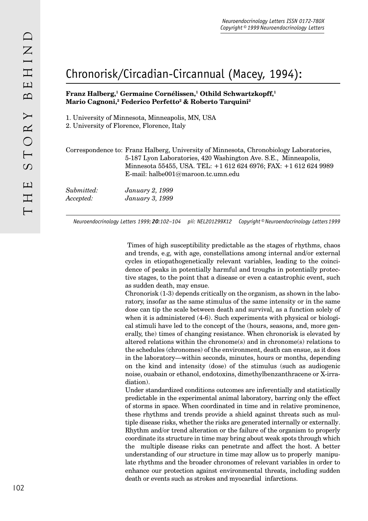## Chronorisk/Circadian-Circannual (Macey, 1994):

## **Franz Halberg,1 Germaine Cornélissen,1 Othild Schwartzkopff,1 Mario Cagnoni,2 Federico Perfetto2 & Roberto Tarquini2**

1. University of Minnesota, Minneapolis, MN, USA

2. University of Florence, Florence, Italy

Correspondence to: Franz Halberg, University of Minnesota, Chronobiology Laboratories, 5-187 Lyon Laboratories, 420 Washington Ave. S.E., Minneapolis, Minnesota 55455, USA. TEL: +1 612 624 6976; FAX: +1 612 624 9989 E-mail: halbe001@maroon.tc.umn.edu

*Submitted: January 2, 1999 Accepted: January 3, 1999*

*Neuroendocrinology Letters 1999; 20:102–104 pii: NEL201299X12 Copyright © Neuroendocrinology Letters 1999*

 Times of high susceptibility predictable as the stages of rhythms, chaos and trends, e.g, with age, constellations among internal and/or external cycles in etiopathogenetically relevant variables, leading to the coincidence of peaks in potentially harmful and troughs in potentially protective stages, to the point that a disease or even a catastrophic event, such as sudden death, may ensue.

Chronorisk (1-3) depends critically on the organism, as shown in the laboratory, insofar as the same stimulus of the same intensity or in the same dose can tip the scale between death and survival, as a function solely of when it is administered (4-6). Such experiments with physical or biological stimuli have led to the concept of the (hours, seasons, and, more generally, the) times of changing resistance. When chronorisk is elevated by altered relations within the chronome(s) and in chronome(s) relations to the schedules (chronomes) of the environment, death can ensue, as it does in the laboratory—within seconds, minutes, hours or months, depending on the kind and intensity (dose) of the stimulus (such as audiogenic noise, ouabain or ethanol, endotoxins, dimethylbenzanthracene or X-irradiation).

Under standardized conditions outcomes are inferentially and statistically predictable in the experimental animal laboratory, barring only the effect of storms in space. When coordinated in time and in relative prominence, these rhythms and trends provide a shield against threats such as multiple disease risks, whether the risks are generated internally or externally. Rhythm and/or trend alteration or the failure of the organism to properly coordinate its structure in time may bring about weak spots through which the multiple disease risks can penetrate and affect the host. A better understanding of our structure in time may allow us to properly manipulate rhythms and the broader chronomes of relevant variables in order to enhance our protection against environmental threats, including sudden death or events such as strokes and myocardial infarctions.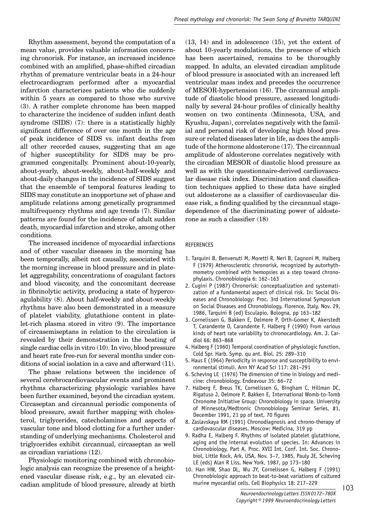Rhythm assessment, beyond the computation of a mean value, provides valuable information concerning chronorisk. For instance, an increased incidence combined with an amplified, phase-shifted circadian rhythm of premature ventricular beats in a 24-hour electrocardiogram performed after a myocardial infarction characterizes patients who die suddenly within 5 years as compared to those who survive (3). A rather complete chronome has been mapped to characterize the incidence of sudden infant death syndrome (SIDS) (7): there is a statistically highly significant difference of over one month in the age of peak incidence of SIDS vs. infant deaths from all other recorded causes, suggesting that an age of higher susceptibility for SIDS may be programmed congenitally. Prominent about-10-yearly, about-yearly, about-weekly, about-half-weekly and about-daily changes in the incidence of SIDS suggest that the ensemble of temporal features leading to SIDS may constitute an inopportune set of phase and amplitude relations among genetically programmed multifrequency rhythms and age trends (7). Similar patterns are found for the incidence of adult sudden death, myocardial infarction and stroke, among other conditions.

The increased incidence of myocardial infarctions and of other vascular diseases in the morning has been temporally, albeit not causally, associated with the morning increase in blood pressure and in platelet aggregability, concentrations of coagulant factors and blood viscosity, and the concomitant decrease in fibrinolytic activity, producing a state of hypercoagulability (8). About half-weekly and about-weekly rhythms have also been demonstrated in a measure of platelet viability, glutathione content in platelet-rich plasma stored in vitro (9). The importance of circasemiseptans in relation to the circulation is revealed by their demonstration in the beating of single cardiac cells in vitro (10). In vivo, blood pressure and heart rate free-run for several months under conditions of social isolation in a cave and afterward (11).

The phase relations between the incidence of several cerebrocardiovascular events and prominent rhythms characterizing physiologic variables have been further examined, beyond the circadian system. Circaseptan and circannual periodic components of blood pressure, await further mapping with cholesterol, triglycerides, catecholamines and aspects of vascular tone and blood clotting for a further understanding of underlying mechanisms. Cholesterol and triglycerides exhibit circannual, circaseptan as well as circadian variations (12).

Physiologic monitoring combined with chronobiologic analysis can recognize the presence of a heightened vascular disease risk, e.g., by an elevated circadian amplitude of blood pressure, already at birth (13, 14) and in adolescence (15), yet the extent of about 10-yearly modulations, the presence of which has been ascertained, remains to be thoroughly mapped. In adults, an elevated circadian amplitude of blood pressure is associated with an increased left ventricular mass index and precedes the occurrence of MESOR-hypertension (16). The circannual amplitude of diastolic blood pressure, assessed longitudinally by several 24-hour profiles of clinically healthy women on two continents (Minnesota, USA, and Kyushu, Japan), correlates negatively with the familial and personal risk of developing high blood pressure or related diseases later in life, as does the amplitude of the hormone aldosterone (17). The circannual amplitude of aldosterone correlates negatively with the circadian MESOR of diastolic blood pressure as well as with the questionnaire-derived cardiovascular disease risk index. Discrimination and classification techniques applied to these data have singled out aldosterone as a classifier of cardiovascular disease risk, a finding qualified by the circannual stagedependence of the discriminating power of aldosterone as such a classifier  $(18)$ 

## REFERENCES

- 1. Tarquini B, Benvenuti M, Moretti R, Neri B, Cagnoni M, Halberg F (1979) Atherosclerotic chronorisk, recognized by autorhythmometry combined with hemopsies as a step toward chronophylaxis. Chronobiologia 6: 162–163
- 2. Cugini P (1987) Chronorisk: conceptualization and systematization of a fundamental aspect of clinical risk. In: Social Diseases and Chronobiology: Proc. 3rd International Symposium on Social Diseases and Chronobiology, Florence, Italy, Nov. 29, 1986, Tarquini B (ed) Esculapio, Bologna, pp 163–182
- 3. Cornelissen G, Bakken E, Delmore P, Orth-Gomer K, Akerstedt T, Carandente O, Carandente F, Halberg F (1990) From various kinds of heart rate variability to chronocardiology. Am. J. Cardiol 66: 863–868
- 4. Halberg F (1960) Temporal coordination of physiologic function. Cold Spr. Harb. Symp. qu ant. Biol. 25: 289–310
- 5. Haus E (1964) Periodicity in response and susceptibility to environmental stimuli. Ann NY Acad Sci 117: 281–291
- 6. Scheving LE (1976) The dimension of time in biology and medicine: chronobiology. Endeavour 35: 66–72
- 7. Halberg F, Breus TK, Cornelissen G, Bingham C, Hillman DC, Rigatuso J, Delmore P, Bakken E, International Womb-to-Tomb Chronome Initiative Group: Chronobiology in space. University of Minnesota/Medtronic Chronobiology Seminar Series, #1, December 1991, 21 pp of text, 70 figures
- 8. Zaslavskaya RM (1991) Chronodiagnosis and chrono-therapy of cardiovascular diseases. Moscow: Medicina, 319 pp
- 9. Radha E, Halberg F. Rhythms of isolated platelet glutathione, aging and the internal evolution of species. In: Advances in Chronobiology, Part A, Proc. XVII Int. Conf. Int. Soc. Chronobiol, Little Rock, Ark, USA, Nov. 3–7, 1985, Pauly JE, Scheving LE (eds) Alan R Liss, New York, 1987, pp 173–180
- 10. Han HW, Shao DL, Wu JY, Cornelissen G, Halberg F (1991) Chronobiologic approach to beat-to-beat variations of cultured murine myocardial cells. Cell Biophysics 18: 217–229

103